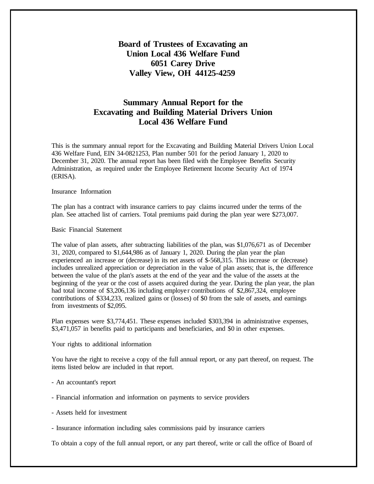## **Board of Trustees of Excavating an Union Local 436 Welfare Fund 6051 Carey Drive Valley View, OH 44125-4259**

## **Summary Annual Report for the Excavating and Building Material Drivers Union Local 436 Welfare Fund**

This is the summary annual report for the Excavating and Building Material Drivers Union Local 436 Welfare Fund, EIN 34-0821253, Plan number 501 for the period January 1, 2020 to December 31, 2020. The annual report has been filed with the Employee Benefits Security Administration, as required under the Employee Retirement Income Security Act of 1974 (ERISA).

Insurance Information

The plan has a contract with insurance carriers to pay claims incurred under the terms of the plan. See attached list of carriers. Total premiums paid during the plan year were \$273,007.

Basic Financial Statement

The value of plan assets, after subtracting liabilities of the plan, was \$1,076,671 as of December 31, 2020, compared to \$1,644,986 as of January 1, 2020. During the plan year the plan experienced an increase or (decrease) in its net assets of \$-568,315. This increase or (decrease) includes unrealized appreciation or depreciation in the value of plan assets; that is, the difference between the value of the plan's assets at the end of the year and the value of the assets at the beginning of the year or the cost of assets acquired during the year. During the plan year, the plan had total income of \$3,206,136 including employer contributions of \$2,867,324, employee contributions of \$334,233, realized gains or (losses) of \$0 from the sale of assets, and earnings from investments of \$2,095.

Plan expenses were \$3,774,451. These expenses included \$303,394 in administrative expenses, \$3,471,057 in benefits paid to participants and beneficiaries, and \$0 in other expenses.

Your rights to additional information

You have the right to receive a copy of the full annual report, or any part thereof, on request. The items listed below are included in that report.

- An accountant's report

- Financial information and information on payments to service providers

- Assets held for investment

- Insurance information including sales commissions paid by insurance carriers

To obtain a copy of the full annual report, or any part thereof, write or call the office of Board of